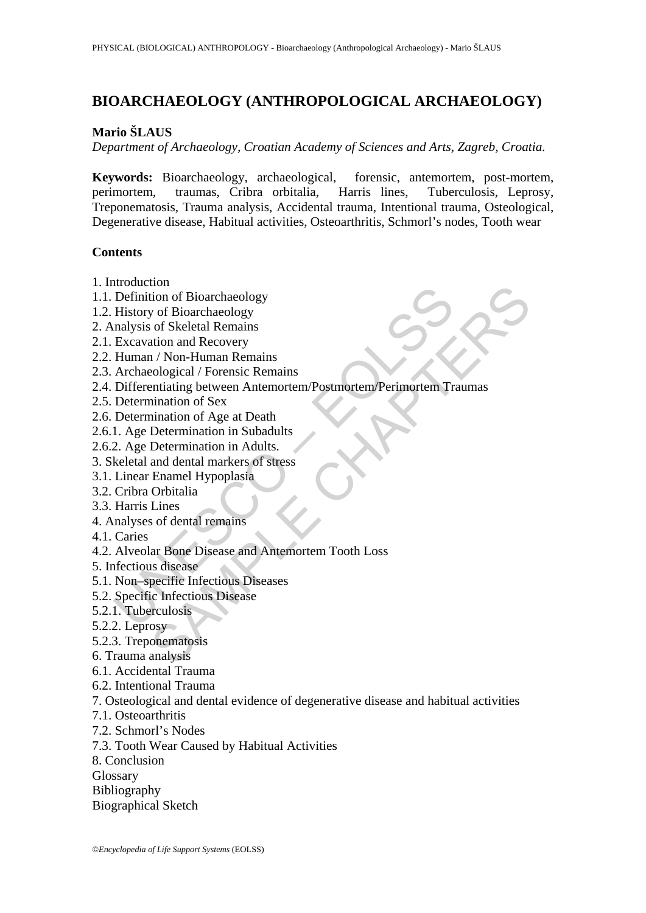# **BIOARCHAEOLOGY (ANTHROPOLOGICAL ARCHAEOLOGY)**

# **Mario ŠLAUS**

*Department of Archaeology, Croatian Academy of Sciences and Arts, Zagreb, Croatia.* 

**Keywords:** Bioarchaeology, archaeological, forensic, antemortem, post-mortem, perimortem, traumas, Cribra orbitalia, Harris lines, Tuberculosis, Leprosy, Treponematosis, Trauma analysis, Accidental trauma, Intentional trauma, Osteological, Degenerative disease, Habitual activities, Osteoarthritis, Schmorl's nodes, Tooth wear

## **Contents**

- 1. Introduction
- 1.1. Definition of Bioarchaeology
- 1.2. History of Bioarchaeology
- 2. Analysis of Skeletal Remains
- 2.1. Excavation and Recovery
- 2.2. Human / Non-Human Remains
- 2.3. Archaeological / Forensic Remains
- novation<br>
Definition of Bioarchaeology<br>
History of Bioarchaeology<br>
History of Bioarchaeology<br>
malysis of Skeletal Remains<br>
Excavation and Recovery<br>
Archaeological / Forensic Remains<br>
Differentiating between Antemortem/Post tion<br>
tion of Bioarchaeology<br>
y of Bioarchaeology<br>
y of Bioarchaeology<br>
stof Skeletal Remains<br>
raintant and Recovery<br>
raintains<br>
cological / Forensic Remains<br>
cological / Forensic Remains<br>
cological / Forensic Remains<br>
con 2.4. Differentiating between Antemortem/Postmortem/Perimortem Traumas
- 2.5. Determination of Sex
- 2.6. Determination of Age at Death
- 2.6.1. Age Determination in Subadults
- 2.6.2. Age Determination in Adults.
- 3. Skeletal and dental markers of stress
- 3.1. Linear Enamel Hypoplasia
- 3.2. Cribra Orbitalia
- 3.3. Harris Lines
- 4. Analyses of dental remains
- 4.1. Caries
- 4.2. Alveolar Bone Disease and Antemortem Tooth Loss
- 5. Infectious disease
- 5.1. Non–specific Infectious Diseases
- 5.2. Specific Infectious Disease
- 5.2.1. Tuberculosis
- 5.2.2. Leprosy
- 5.2.3. Treponematosis
- 6. Trauma analysis
- 6.1. Accidental Trauma
- 6.2. Intentional Trauma
- 7. Osteological and dental evidence of degenerative disease and habitual activities
- 7.1. Osteoarthritis
- 7.2. Schmorl's Nodes
- 7.3. Tooth Wear Caused by Habitual Activities
- 8. Conclusion
- Glossary
- Bibliography
- Biographical Sketch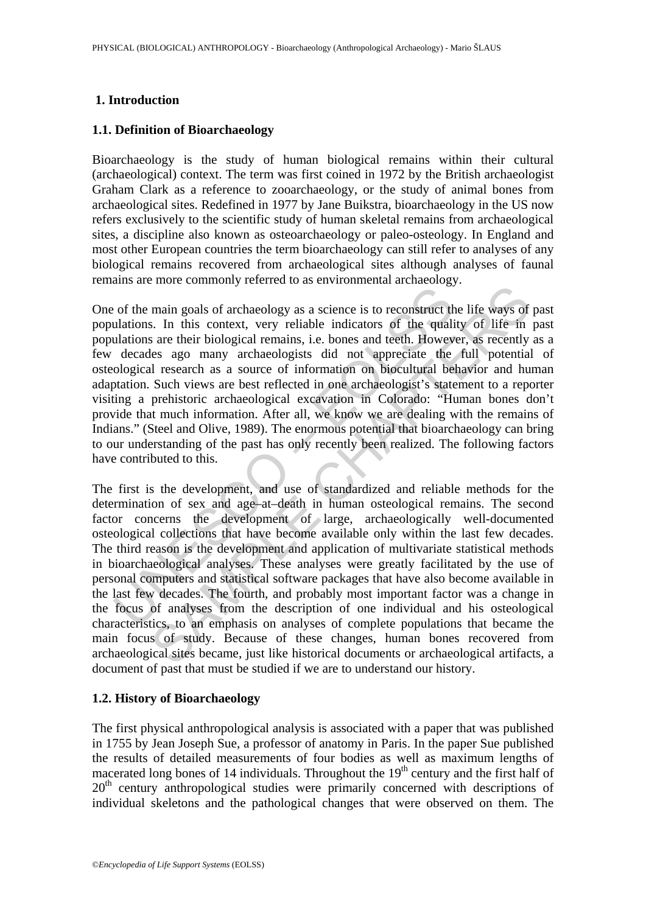### **1. Introduction**

#### **1.1. Definition of Bioarchaeology**

Bioarchaeology is the study of human biological remains within their cultural (archaeological) context. The term was first coined in 1972 by the British archaeologist Graham Clark as a reference to zooarchaeology, or the study of animal bones from archaeological sites. Redefined in 1977 by Jane Buikstra, bioarchaeology in the US now refers exclusively to the scientific study of human skeletal remains from archaeological sites, a discipline also known as osteoarchaeology or paleo-osteology. In England and most other European countries the term bioarchaeology can still refer to analyses of any biological remains recovered from archaeological sites although analyses of faunal remains are more commonly referred to as environmental archaeology.

<sup>2</sup><br>
in this context, very reliable indicators of the quali<br>
ulations. In this context, very reliable indicators of the quali<br>
ulations are their biological remains, i.e. bones and teeth. Howev<br>
decades ago many archeologi One of the main goals of archaeology as a science is to reconstruct the life ways of past populations. In this context, very reliable indicators of the quality of life in past populations are their biological remains, i.e. bones and teeth. However, as recently as a few decades ago many archaeologists did not appreciate the full potential of osteological research as a source of information on biocultural behavior and human adaptation. Such views are best reflected in one archaeologist's statement to a reporter visiting a prehistoric archaeological excavation in Colorado: "Human bones don't provide that much information. After all, we know we are dealing with the remains of Indians." (Steel and Olive, 1989). The enormous potential that bioarchaeology can bring to our understanding of the past has only recently been realized. The following factors have contributed to this.

main goals of archaeology as a science is to reconstruct the life ways of<br>main goals of archaeology as a science is to reconstruct the life ways of<br>s. In this context, very reliable indicators of the quality of life in<br>sar The first is the development, and use of standardized and reliable methods for the determination of sex and age–at–death in human osteological remains. The second factor concerns the development of large, archaeologically well-documented osteological collections that have become available only within the last few decades. The third reason is the development and application of multivariate statistical methods in bioarchaeological analyses. These analyses were greatly facilitated by the use of personal computers and statistical software packages that have also become available in the last few decades. The fourth, and probably most important factor was a change in the focus of analyses from the description of one individual and his osteological characteristics, to an emphasis on analyses of complete populations that became the main focus of study. Because of these changes, human bones recovered from archaeological sites became, just like historical documents or archaeological artifacts, a document of past that must be studied if we are to understand our history.

### **1.2. History of Bioarchaeology**

The first physical anthropological analysis is associated with a paper that was published in 1755 by Jean Joseph Sue, a professor of anatomy in Paris. In the paper Sue published the results of detailed measurements of four bodies as well as maximum lengths of macerated long bones of 14 individuals. Throughout the  $19<sup>th</sup>$  century and the first half of 20<sup>th</sup> century anthropological studies were primarily concerned with descriptions of individual skeletons and the pathological changes that were observed on them. The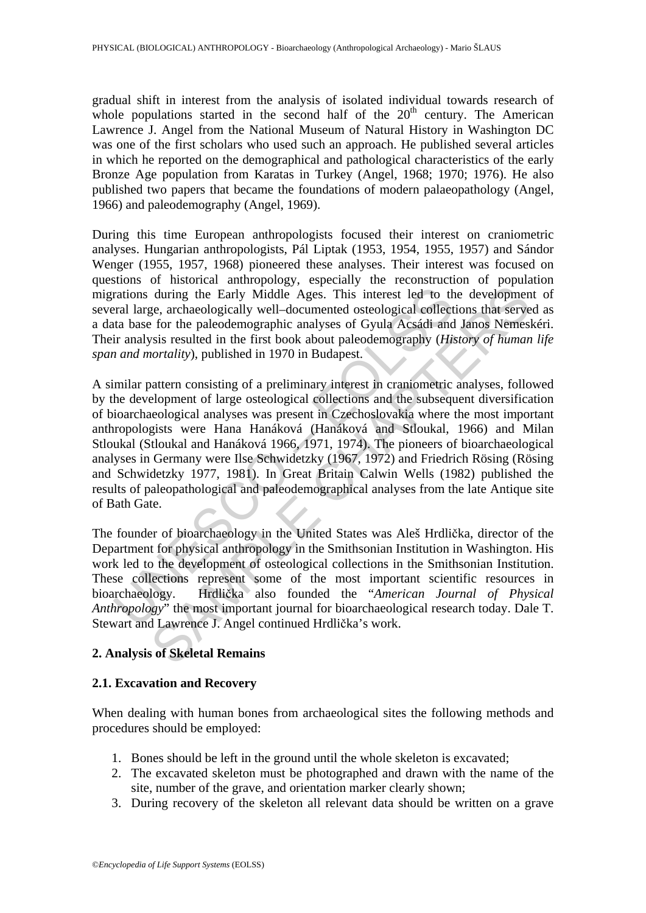gradual shift in interest from the analysis of isolated individual towards research of whole populations started in the second half of the  $20<sup>th</sup>$  century. The American Lawrence J. Angel from the National Museum of Natural History in Washington DC was one of the first scholars who used such an approach. He published several articles in which he reported on the demographical and pathological characteristics of the early Bronze Age population from Karatas in Turkey (Angel, 1968; 1970; 1976). He also published two papers that became the foundations of modern palaeopathology (Angel, 1966) and paleodemography (Angel, 1969).

During this time European anthropologists focused their interest on craniometric analyses. Hungarian anthropologists, Pál Liptak (1953, 1954, 1955, 1957) and Sándor Wenger (1955, 1957, 1968) pioneered these analyses. Their interest was focused on questions of historical anthropology, especially the reconstruction of population migrations during the Early Middle Ages. This interest led to the development of several large, archaeologically well–documented osteological collections that served as a data base for the paleodemographic analyses of Gyula Acsádi and Janos Nemeskéri. Their analysis resulted in the first book about paleodemography (*History of human life span and mortality*), published in 1970 in Budapest.

rations during the Early Middle Ages. This interest led to the<br>rations during the Early Middle Ages. This interest led to the<br>ration large, archaeologically well-documented osteological collect<br>ta base for the paleodemogra during the Early Middle Ages. This interest led to the developmene, archaeologically well-documented osteological collections that serves for the pheledemographic analyses of Gyula Acsadi and Janos Nemesls for the phelede A similar pattern consisting of a preliminary interest in craniometric analyses, followed by the development of large osteological collections and the subsequent diversification of bioarchaeological analyses was present in Czechoslovakia where the most important anthropologists were Hana Hanáková (Hanáková and Stloukal, 1966) and Milan Stloukal (Stloukal and Hanáková 1966, 1971, 1974). The pioneers of bioarchaeological analyses in Germany were Ilse Schwidetzky (1967, 1972) and Friedrich Rösing (Rösing and Schwidetzky 1977, 1981). In Great Britain Calwin Wells (1982) published the results of paleopathological and paleodemographical analyses from the late Antique site of Bath Gate.

The founder of bioarchaeology in the United States was Aleš Hrdlička, director of the Department for physical anthropology in the Smithsonian Institution in Washington. His work led to the development of osteological collections in the Smithsonian Institution. These collections represent some of the most important scientific resources in bioarchaeology. Hrdlička also founded the "*American Journal of Physical Anthropology*" the most important journal for bioarchaeological research today. Dale T. Stewart and Lawrence J. Angel continued Hrdlička's work.

# **2. Analysis of Skeletal Remains**

### **2.1. Excavation and Recovery**

When dealing with human bones from archaeological sites the following methods and procedures should be employed:

- 1. Bones should be left in the ground until the whole skeleton is excavated;
- 2. The excavated skeleton must be photographed and drawn with the name of the site, number of the grave, and orientation marker clearly shown;
- 3. During recovery of the skeleton all relevant data should be written on a grave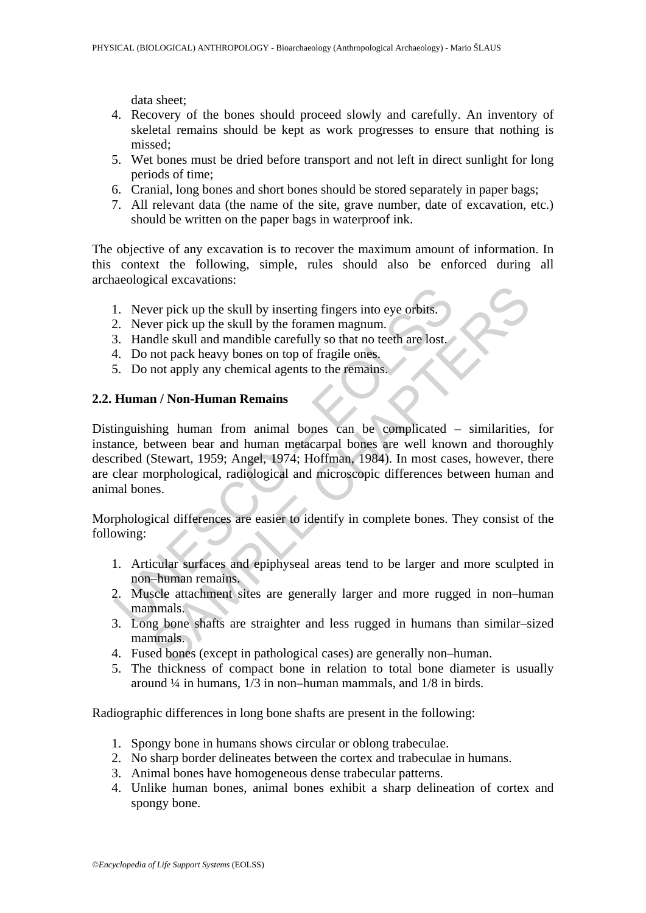data sheet;

- 4. Recovery of the bones should proceed slowly and carefully. An inventory of skeletal remains should be kept as work progresses to ensure that nothing is missed;
- 5. Wet bones must be dried before transport and not left in direct sunlight for long periods of time;
- 6. Cranial, long bones and short bones should be stored separately in paper bags;
- 7. All relevant data (the name of the site, grave number, date of excavation, etc.) should be written on the paper bags in waterproof ink.

The objective of any excavation is to recover the maximum amount of information. In this context the following, simple, rules should also be enforced during all archaeological excavations:

- 1. Never pick up the skull by inserting fingers into eye orbits.
- 2. Never pick up the skull by the foramen magnum.
- 3. Handle skull and mandible carefully so that no teeth are lost.
- 4. Do not pack heavy bones on top of fragile ones.
- 5. Do not apply any chemical agents to the remains.

## **2.2. Human / Non-Human Remains**

1. Never pick up the skull by inserting fingers into eye orbits.<br>
2. Never pick up the skull by the foramen magnum.<br>
3. Handle skull and mandible carefully so that no teeth are lost.<br>
4. Do not apply any chemical agents to The state of the skull by inserting fingers into eye orbits.<br>
Yer pick up the skull by the foramen magnum.<br>
Indle skull and mandible carefully so that no teeth are lost,<br>
not pack heavy bones on top of fragile ones.<br>
In / Distinguishing human from animal bones can be complicated – similarities, for instance, between bear and human metacarpal bones are well known and thoroughly described (Stewart, 1959; Angel, 1974; Hoffman, 1984). In most cases, however, there are clear morphological, radiological and microscopic differences between human and animal bones.

Morphological differences are easier to identify in complete bones. They consist of the following:

- 1. Articular surfaces and epiphyseal areas tend to be larger and more sculpted in non–human remains.
- 2. Muscle attachment sites are generally larger and more rugged in non–human mammals.
- 3. Long bone shafts are straighter and less rugged in humans than similar–sized mammals.
- 4. Fused bones (except in pathological cases) are generally non–human.
- 5. The thickness of compact bone in relation to total bone diameter is usually around  $\frac{1}{4}$  in humans,  $\frac{1}{3}$  in non–human mammals, and  $\frac{1}{8}$  in birds.

Radiographic differences in long bone shafts are present in the following:

- 1. Spongy bone in humans shows circular or oblong trabeculae.
- 2. No sharp border delineates between the cortex and trabeculae in humans.
- 3. Animal bones have homogeneous dense trabecular patterns.
- 4. Unlike human bones, animal bones exhibit a sharp delineation of cortex and spongy bone.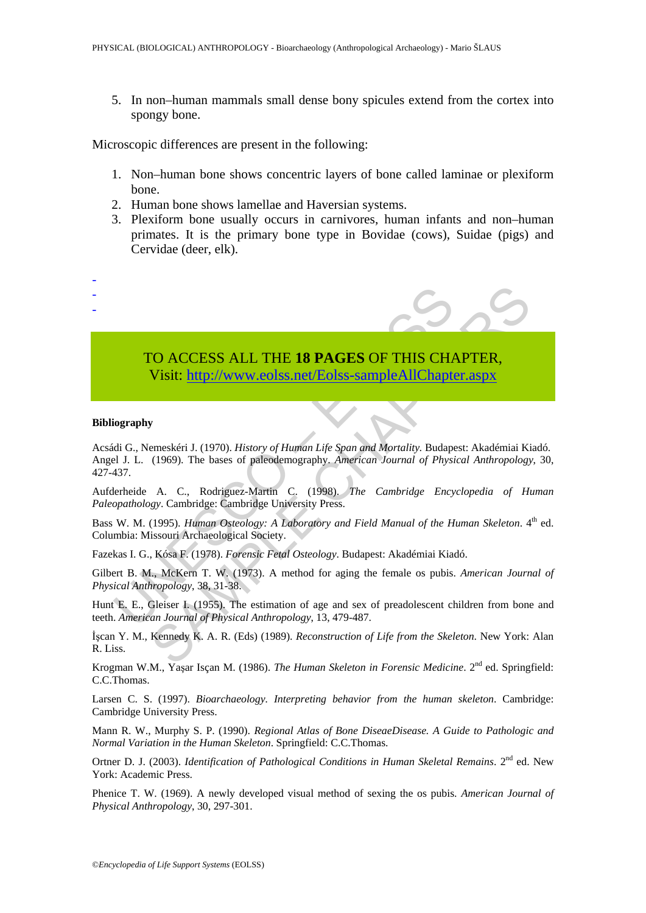5. In non–human mammals small dense bony spicules extend from the cortex into spongy bone.

Microscopic differences are present in the following:

- 1. Non–human bone shows concentric layers of bone called laminae or plexiform bone.
- 2. Human bone shows lamellae and Haversian systems.
- 3. Plexiform bone usually occurs in carnivores, human infants and non–human primates. It is the primary bone type in Bovidae (cows), Suidae (pigs) and Cervidae (deer, elk).

# TO ACCESS ALL THE **18 PAGES** OF THIS CHAPTER, Visit: http://www.eolss.net/Eolss-sampleAllChapter.aspx

#### **Bibliography**

- - -

TO ACCESS ALL THE 18 PAGES OF THIS CHANNED Visit: http://www.eolss.net/Eolss-sampleAllChapte<br>
Visit: http://www.eolss.net/Eolss-sampleAllChapte<br>
iography<br>
idi G., Nemeskéri J. (1970). *History of Human Life Span and Mortal* **CO ACCESS ALL THE 18 PAGES OF THIS CHA[PTE](https://www.eolss.net/ebooklib/sc_cart.aspx?File=E6-20A-02-00)R,**<br>
Visit:  $\frac{http://www.eolss.net/Eolss-sampleAllChapter, says\n$ <br>
(1969). The bases of paleodemography. American Journal of Physical Anthropology<br>
(1969). The bases of paleodemography. American Journal of Phy Acsádi G., Nemeskéri J. (1970). *History of Human Life Span and Mortality.* Budapest: Akadémiai Kiadó. Angel J. L. (1969). The bases of paleodemography. *American Journal of Physical Anthropology*, 30, 427-437.

Aufderheide A. C., Rodriguez-Martin C. (1998). *The Cambridge Encyclopedia of Human Paleopathology*. Cambridge: Cambridge University Press.

Bass W. M. (1995). *Human Osteology: A Laboratory and Field Manual of the Human Skeleton*. 4<sup>th</sup> ed. Columbia: Missouri Archaeological Society.

Fazekas I. G., Kósa F. (1978). *Forensic Fetal Osteology*. Budapest: Akadémiai Kiadó.

Gilbert B. M., McKern T. W. (1973). A method for aging the female os pubis. *American Journal of Physical Anthropology*, 38, 31-38.

Hunt E. E., Gleiser I. (1955). The estimation of age and sex of preadolescent children from bone and teeth. *American Journal of Physical Anthropology*, 13, 479-487.

İşcan Y. M., Kennedy K. A. R. (Eds) (1989). *Reconstruction of Life from the Skeleton*. New York: Alan R. Liss.

Krogman W.M., Yaşar Isçan M. (1986). *The Human Skeleton in Forensic Medicine*. 2<sup>nd</sup> ed. Springfield: C.C.Thomas.

Larsen C. S. (1997). *Bioarchaeology. Interpreting behavior from the human skeleton*. Cambridge: Cambridge University Press.

Mann R. W., Murphy S. P. (1990). *Regional Atlas of Bone DiseaeDisease. A Guide to Pathologic and Normal Variation in the Human Skeleton*. Springfield: C.C.Thomas.

Ortner D. J. (2003). *Identification of Pathological Conditions in Human Skeletal Remains*. 2<sup>nd</sup> ed. New York: Academic Press.

Phenice T. W. (1969). A newly developed visual method of sexing the os pubis. *American Journal of Physical Anthropology*, 30, 297-301.